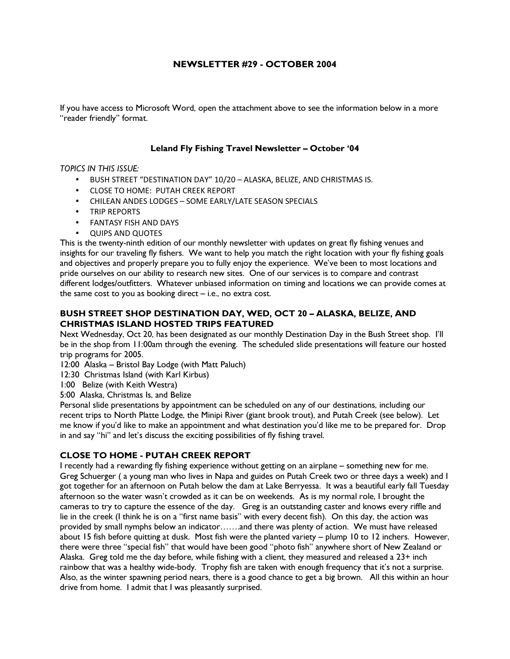# NEWSLETTER #29 - OCTOBER 2004

If you have access to Microsoft Word, open the attachment above to see the information below in a more "reader friendly" format.

### Leland Fly Fishing Travel Newsletter – October '04

### TOPICS IN THIS ISSUE:

- BUSH STREET "DESTINATION DAY" 10/20 ALASKA, BELIZE, AND CHRISTMAS IS.
- CLOSE TO HOME: PUTAH CREEK REPORT
- CHILEAN ANDES LODGES SOME EARLY/LATE SEASON SPECIALS
- TRIP REPORTS
- FANTASY FISH AND DAYS
- QUIPS AND QUOTES

This is the twenty-ninth edition of our monthly newsletter with updates on great fly fishing venues and insights for our traveling fly fishers. We want to help you match the right location with your fly fishing goals and objectives and properly prepare you to fully enjoy the experience. We've been to most locations and pride ourselves on our ability to research new sites. One of our services is to compare and contrast different lodges/outfitters. Whatever unbiased information on timing and locations we can provide comes at the same cost to you as booking direct – i.e., no extra cost.

## BUSH STREET SHOP DESTINATION DAY, WED, OCT 20 – ALASKA, BELIZE, AND CHRISTMAS ISLAND HOSTED TRIPS FEATURED

Next Wednesday, Oct 20, has been designated as our monthly Destination Day in the Bush Street shop. I'll be in the shop from 11:00am through the evening. The scheduled slide presentations will feature our hosted trip programs for 2005.

- 12:00 Alaska Bristol Bay Lodge (with Matt Paluch)
- 12:30 Christmas Island (with Karl Kirbus)
- 1:00 Belize (with Keith Westra)
- 5:00 Alaska, Christmas Is, and Belize

Personal slide presentations by appointment can be scheduled on any of our destinations, including our recent trips to North Platte Lodge, the Minipi River (giant brook trout), and Putah Creek (see below). Let me know if you'd like to make an appointment and what destination you'd like me to be prepared for. Drop in and say "hi" and let's discuss the exciting possibilities of fly fishing travel.

## CLOSE TO HOME - PUTAH CREEK REPORT

I recently had a rewarding fly fishing experience without getting on an airplane – something new for me. Greg Schuerger ( a young man who lives in Napa and guides on Putah Creek two or three days a week) and I got together for an afternoon on Putah below the dam at Lake Berryessa. It was a beautiful early fall Tuesday afternoon so the water wasn't crowded as it can be on weekends. As is my normal role, I brought the cameras to try to capture the essence of the day. Greg is an outstanding caster and knows every riffle and lie in the creek (I think he is on a "first name basis" with every decent fish). On this day, the action was provided by small nymphs below an indicator…….and there was plenty of action. We must have released about 15 fish before quitting at dusk. Most fish were the planted variety – plump 10 to 12 inchers. However, there were three "special fish" that would have been good "photo fish" anywhere short of New Zealand or Alaska. Greg told me the day before, while fishing with a client, they measured and released a 23+ inch rainbow that was a healthy wide-body. Trophy fish are taken with enough frequency that it's not a surprise. Also, as the winter spawning period nears, there is a good chance to get a big brown. All this within an hour drive from home. I admit that I was pleasantly surprised.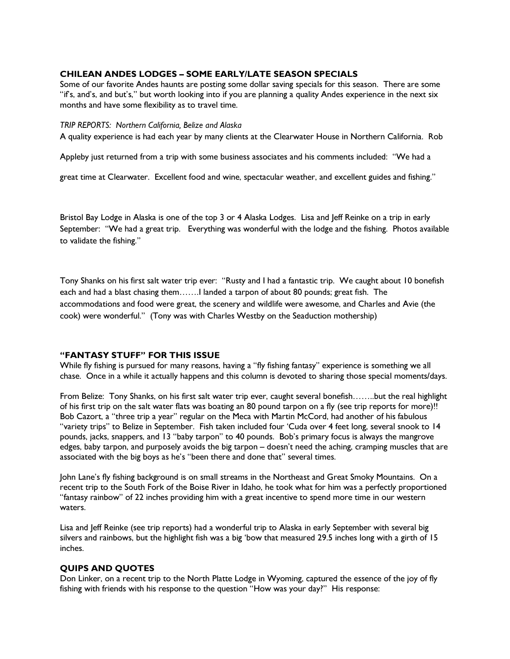### CHILEAN ANDES LODGES – SOME EARLY/LATE SEASON SPECIALS

Some of our favorite Andes haunts are posting some dollar saving specials for this season. There are some "if's, and's, and but's," but worth looking into if you are planning a quality Andes experience in the next six months and have some flexibility as to travel time.

#### TRIP REPORTS: Northern California, Belize and Alaska

A quality experience is had each year by many clients at the Clearwater House in Northern California. Rob

Appleby just returned from a trip with some business associates and his comments included: "We had a

great time at Clearwater. Excellent food and wine, spectacular weather, and excellent guides and fishing."

Bristol Bay Lodge in Alaska is one of the top 3 or 4 Alaska Lodges. Lisa and Jeff Reinke on a trip in early September: "We had a great trip. Everything was wonderful with the lodge and the fishing. Photos available to validate the fishing."

Tony Shanks on his first salt water trip ever: "Rusty and I had a fantastic trip. We caught about 10 bonefish each and had a blast chasing them…….I landed a tarpon of about 80 pounds; great fish. The accommodations and food were great, the scenery and wildlife were awesome, and Charles and Avie (the cook) were wonderful." (Tony was with Charles Westby on the Seaduction mothership)

### "FANTASY STUFF" FOR THIS ISSUE

While fly fishing is pursued for many reasons, having a "fly fishing fantasy" experience is something we all chase. Once in a while it actually happens and this column is devoted to sharing those special moments/days.

From Belize: Tony Shanks, on his first salt water trip ever, caught several bonefish……..but the real highlight of his first trip on the salt water flats was boating an 80 pound tarpon on a fly (see trip reports for more)!! Bob Cazort, a "three trip a year" regular on the Meca with Martin McCord, had another of his fabulous "variety trips" to Belize in September. Fish taken included four 'Cuda over 4 feet long, several snook to 14 pounds, jacks, snappers, and 13 "baby tarpon" to 40 pounds. Bob's primary focus is always the mangrove edges, baby tarpon, and purposely avoids the big tarpon – doesn't need the aching, cramping muscles that are associated with the big boys as he's "been there and done that" several times.

John Lane's fly fishing background is on small streams in the Northeast and Great Smoky Mountains. On a recent trip to the South Fork of the Boise River in Idaho, he took what for him was a perfectly proportioned "fantasy rainbow" of 22 inches providing him with a great incentive to spend more time in our western waters.

Lisa and Jeff Reinke (see trip reports) had a wonderful trip to Alaska in early September with several big silvers and rainbows, but the highlight fish was a big 'bow that measured 29.5 inches long with a girth of 15 inches.

## QUIPS AND QUOTES

Don Linker, on a recent trip to the North Platte Lodge in Wyoming, captured the essence of the joy of fly fishing with friends with his response to the question "How was your day?" His response: